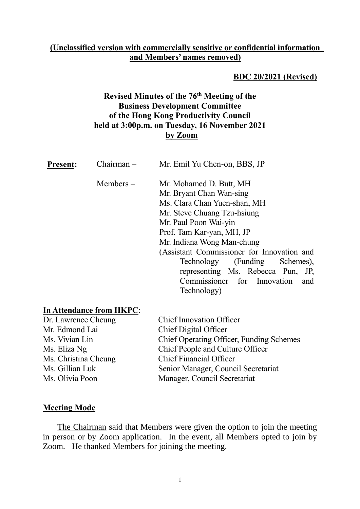#### **(Unclassified version with commercially sensitive or confidential information and Members' names removed)**

#### **BDC 20/2021 (Revised)**

## **Revised Minutes of the 76 th Meeting of the Business Development Committee of the Hong Kong Productivity Council held at 3:00p.m. on Tuesday, 16 November 2021 by Zoom**

| <b>Present:</b> | $Chairman -$   | Mr. Emil Yu Chen-on, BBS, JP                        |
|-----------------|----------------|-----------------------------------------------------|
|                 | $M$ embers $-$ | Mr. Mohamed D. Butt, MH<br>Mr. Bryant Chan Wan-sing |
|                 |                | Ms. Clara Chan Yuen-shan, MH                        |
|                 |                | Mr. Steve Chuang Tzu-hsiung                         |
|                 |                | Mr. Paul Poon Wai-yin                               |
|                 |                | Prof. Tam Kar-yan, MH, JP                           |
|                 |                | Mr. Indiana Wong Man-chung                          |
|                 |                | (Assistant Commissioner for Innovation and          |
|                 |                | Technology (Funding Schemes),                       |
|                 |                | representing Ms. Rebecca Pun, JP,                   |
|                 |                | Commissioner for Innovation<br>and                  |
|                 |                | Technology)                                         |

# **In Attendance from HKPC**:

| Dr. Lawrence Cheung  |  |  |  |
|----------------------|--|--|--|
| Mr. Edmond Lai       |  |  |  |
| Ms. Vivian Lin       |  |  |  |
| Ms. Eliza Ng         |  |  |  |
| Ms. Christina Cheung |  |  |  |
| Ms. Gillian Luk      |  |  |  |
| Ms. Olivia Poon      |  |  |  |

Chief Innovation Officer Chief Digital Officer Chief Operating Officer, Funding Schemes Chief People and Culture Officer Chief Financial Officer Senior Manager, Council Secretariat Manager, Council Secretariat

#### **Meeting Mode**

The Chairman said that Members were given the option to join the meeting in person or by Zoom application. In the event, all Members opted to join by Zoom. He thanked Members for joining the meeting.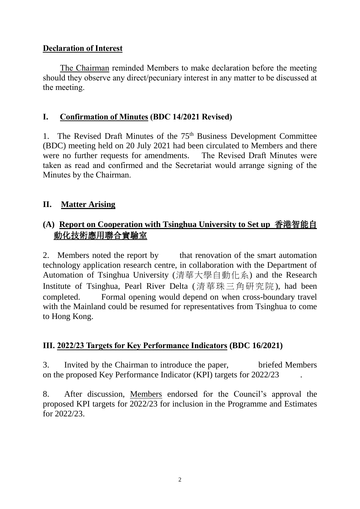## **Declaration of Interest**

The Chairman reminded Members to make declaration before the meeting should they observe any direct/pecuniary interest in any matter to be discussed at the meeting.

# **I. Confirmation of Minutes (BDC 14/2021 Revised)**

1. The Revised Draft Minutes of the 75<sup>th</sup> Business Development Committee (BDC) meeting held on 20 July 2021 had been circulated to Members and there were no further requests for amendments. The Revised Draft Minutes were taken as read and confirmed and the Secretariat would arrange signing of the Minutes by the Chairman.

# **II. Matter Arising**

# **(A) Report on Cooperation with Tsinghua University to Set up** 香港智能自 動化技術應用聯合實驗室

2. Members noted the report by that renovation of the smart automation technology application research centre, in collaboration with the Department of Automation of Tsinghua University (清華大學自動化系) and the Research Institute of Tsinghua, Pearl River Delta (清華珠三角研究院), had been completed. Formal opening would depend on when cross-boundary travel with the Mainland could be resumed for representatives from Tsinghua to come to Hong Kong.

# **III. 2022/23 Targets for Key Performance Indicators (BDC 16/2021)**

3. Invited by the Chairman to introduce the paper, briefed Members on the proposed Key Performance Indicator (KPI) targets for 2022/23 .

8. After discussion, Members endorsed for the Council's approval the proposed KPI targets for 2022/23 for inclusion in the Programme and Estimates for 2022/23.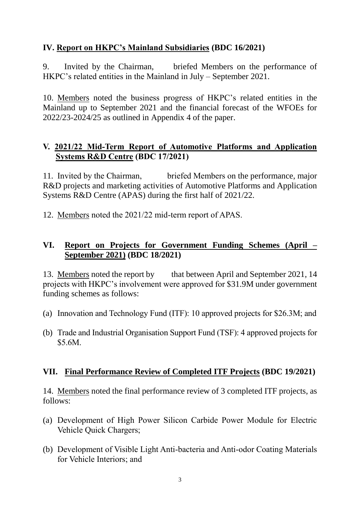# **IV. Report on HKPC's Mainland Subsidiaries (BDC 16/2021)**

9. Invited by the Chairman, briefed Members on the performance of HKPC's related entities in the Mainland in July – September 2021.

10. Members noted the business progress of HKPC's related entities in the Mainland up to September 2021 and the financial forecast of the WFOEs for 2022/23-2024/25 as outlined in Appendix 4 of the paper.

### **V. 2021/22 Mid-Term Report of Automotive Platforms and Application Systems R&D Centre (BDC 17/2021)**

11. Invited by the Chairman, briefed Members on the performance, major R&D projects and marketing activities of Automotive Platforms and Application Systems R&D Centre (APAS) during the first half of 2021/22.

12. Members noted the 2021/22 mid-term report of APAS.

## **VI. Report on Projects for Government Funding Schemes (April – September 2021) (BDC 18/2021)**

13. Members noted the report by that between April and September 2021, 14 projects with HKPC's involvement were approved for \$31.9M under government funding schemes as follows:

- (a) Innovation and Technology Fund (ITF): 10 approved projects for \$26.3M; and
- (b) Trade and Industrial Organisation Support Fund (TSF): 4 approved projects for \$5.6M.

#### **VII. Final Performance Review of Completed ITF Projects (BDC 19/2021)**

14. Members noted the final performance review of 3 completed ITF projects, as follows:

- (a) Development of High Power Silicon Carbide Power Module for Electric Vehicle Quick Chargers;
- (b) Development of Visible Light Anti-bacteria and Anti-odor Coating Materials for Vehicle Interiors; and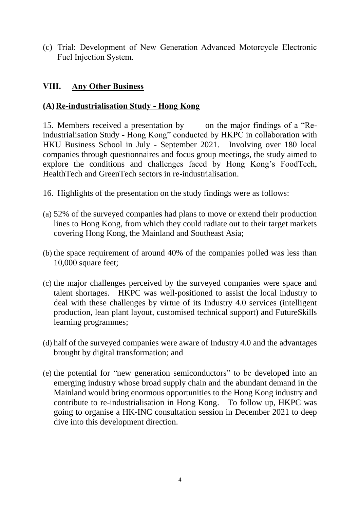(c) Trial: Development of New Generation Advanced Motorcycle Electronic Fuel Injection System.

# **VIII. Any Other Business**

# **(A)Re-industrialisation Study - Hong Kong**

15. Members received a presentation by on the major findings of a "Reindustrialisation Study - Hong Kong" conducted by HKPC in collaboration with HKU Business School in July - September 2021. Involving over 180 local companies through questionnaires and focus group meetings, the study aimed to explore the conditions and challenges faced by Hong Kong's FoodTech, HealthTech and GreenTech sectors in re-industrialisation.

- 16. Highlights of the presentation on the study findings were as follows:
- (a) 52% of the surveyed companies had plans to move or extend their production lines to Hong Kong, from which they could radiate out to their target markets covering Hong Kong, the Mainland and Southeast Asia;
- (b) the space requirement of around 40% of the companies polled was less than 10,000 square feet;
- (c) the major challenges perceived by the surveyed companies were space and talent shortages. HKPC was well-positioned to assist the local industry to deal with these challenges by virtue of its Industry 4.0 services (intelligent production, lean plant layout, customised technical support) and FutureSkills learning programmes;
- (d) half of the surveyed companies were aware of Industry 4.0 and the advantages brought by digital transformation; and
- (e) the potential for "new generation semiconductors" to be developed into an emerging industry whose broad supply chain and the abundant demand in the Mainland would bring enormous opportunities to the Hong Kong industry and contribute to re-industrialisation in Hong Kong. To follow up, HKPC was going to organise a HK-INC consultation session in December 2021 to deep dive into this development direction.